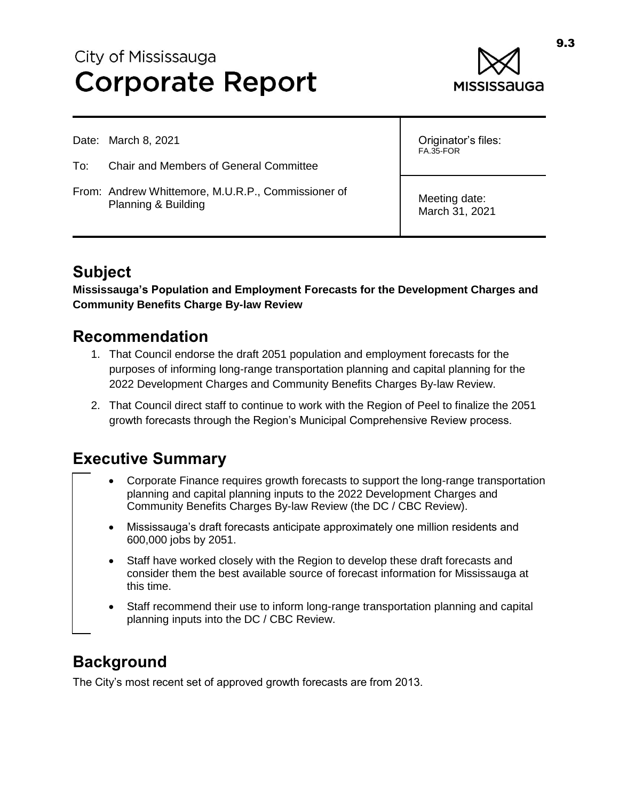# City of Mississauga **Corporate Report**



Date: March 8, 2021

- To: Chair and Members of General Committee
- From: Andrew Whittemore, M.U.R.P., Commissioner of Planning & Building

Originator's files: FA.35-FOR

Meeting date: March 31, 2021

## **Subject**

**Mississauga's Population and Employment Forecasts for the Development Charges and Community Benefits Charge By-law Review**

#### **Recommendation**

- 1. That Council endorse the draft 2051 population and employment forecasts for the purposes of informing long-range transportation planning and capital planning for the 2022 Development Charges and Community Benefits Charges By-law Review.
- 2. That Council direct staff to continue to work with the Region of Peel to finalize the 2051 growth forecasts through the Region's Municipal Comprehensive Review process.

## **Executive Summary**

- Corporate Finance requires growth forecasts to support the long-range transportation planning and capital planning inputs to the 2022 Development Charges and Community Benefits Charges By-law Review (the DC / CBC Review).
- Mississauga's draft forecasts anticipate approximately one million residents and 600,000 jobs by 2051.
- Staff have worked closely with the Region to develop these draft forecasts and consider them the best available source of forecast information for Mississauga at this time.
- Staff recommend their use to inform long-range transportation planning and capital planning inputs into the DC / CBC Review.

## **Background**

The City's most recent set of approved growth forecasts are from 2013.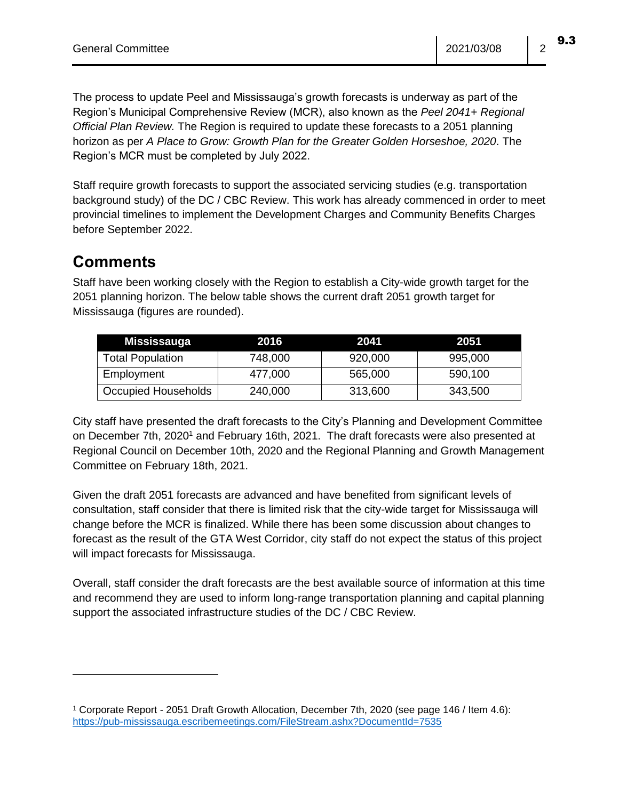9.3

The process to update Peel and Mississauga's growth forecasts is underway as part of the Region's Municipal Comprehensive Review (MCR), also known as the *Peel 2041+ Regional Official Plan Review.* The Region is required to update these forecasts to a 2051 planning horizon as per *A Place to Grow: Growth Plan for the Greater Golden Horseshoe, 2020*. The Region's MCR must be completed by July 2022.

Staff require growth forecasts to support the associated servicing studies (e.g. transportation background study) of the DC / CBC Review. This work has already commenced in order to meet provincial timelines to implement the Development Charges and Community Benefits Charges before September 2022.

#### **Comments**

 $\overline{a}$ 

Staff have been working closely with the Region to establish a City-wide growth target for the 2051 planning horizon. The below table shows the current draft 2051 growth target for Mississauga (figures are rounded).

| Mississauga             | 2016    | 2041    | 2051    |
|-------------------------|---------|---------|---------|
| <b>Total Population</b> | 748,000 | 920,000 | 995,000 |
| Employment              | 477,000 | 565,000 | 590,100 |
| Occupied Households     | 240,000 | 313,600 | 343,500 |

City staff have presented the draft forecasts to the City's Planning and Development Committee on December 7th, 2020<sup>1</sup> and February 16th, 2021. The draft forecasts were also presented at Regional Council on December 10th, 2020 and the Regional Planning and Growth Management Committee on February 18th, 2021.

Given the draft 2051 forecasts are advanced and have benefited from significant levels of consultation, staff consider that there is limited risk that the city-wide target for Mississauga will change before the MCR is finalized. While there has been some discussion about changes to forecast as the result of the GTA West Corridor, city staff do not expect the status of this project will impact forecasts for Mississauga.

Overall, staff consider the draft forecasts are the best available source of information at this time and recommend they are used to inform long-range transportation planning and capital planning support the associated infrastructure studies of the DC / CBC Review.

<sup>1</sup> Corporate Report - 2051 Draft Growth Allocation, December 7th, 2020 (see page 146 / Item 4.6): <https://pub-mississauga.escribemeetings.com/FileStream.ashx?DocumentId=7535>